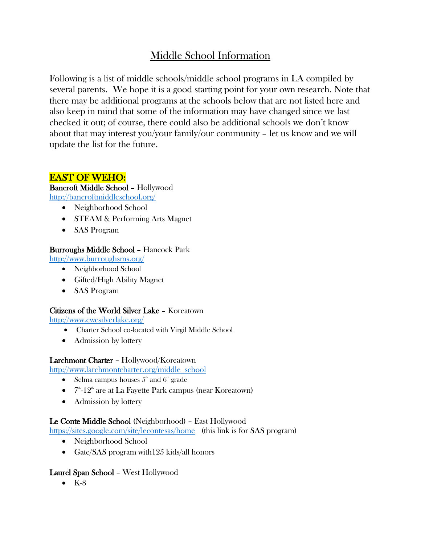# Middle School Information

Following is a list of middle schools/middle school programs in LA compiled by several parents. We hope it is a good starting point for your own research. Note that there may be additional programs at the schools below that are not listed here and also keep in mind that some of the information may have changed since we last checked it out; of course, there could also be additional schools we don't know about that may interest you/your family/our community – let us know and we will update the list for the future.

# EAST OF WEHO:

#### Bancroft Middle School – Hollywood <http://bancroftmiddleschool.org/>

- Neighborhood School
- STEAM & Performing Arts Magnet
- SAS Program

# Burroughs Middle School – Hancock Park

<http://www.burroughsms.org/>

- Neighborhood School
- Gifted/High Ability Magnet
- SAS Program

# Citizens of the World Silver Lake – Koreatown

<http://www.cwcsilverlake.org/>

- Charter School co-located with Virgil Middle School
- Admission by lottery

# Larchmont Charter – Hollywood/Koreatown

[http://www.larchmontcharter.org/middle\\_school](http://www.larchmontcharter.org/middle_school)

- Selma campus houses  $5<sup>th</sup>$  and  $6<sup>th</sup>$  grade
- $\bullet$   $7^{\text{th}}$ -12<sup>th</sup> are at La Fayette Park campus (near Koreatown)
- Admission by lottery

# Le Conte Middle School (Neighborhood) – East Hollywood

<https://sites.google.com/site/lecontesas/home>(this link is for SAS program)

- Neighborhood School
- Gate/SAS program with 125 kids/all honors

# Laurel Span School – West Hollywood

 $\bullet$  K-8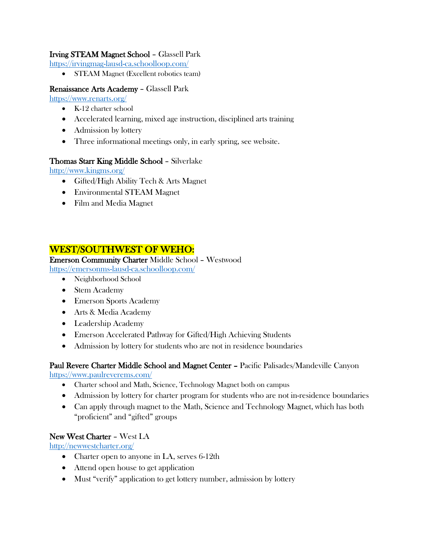## Irving STEAM Magnet School – Glassell Park

<https://irvingmag-lausd-ca.schoolloop.com/>

• STEAM Magnet (Excellent robotics team)

#### Renaissance Arts Academy – Glassell Park

<https://www.renarts.org/>

- K-12 charter school
- Accelerated learning, mixed age instruction, disciplined arts training
- Admission by lottery
- Three informational meetings only, in early spring, see website.

#### Thomas Starr King Middle School – Silverlake

<http://www.kingms.org/>

- Gifted/High Ability Tech & Arts Magnet
- Environmental STEAM Magnet
- Film and Media Magnet

# WEST/SOUTHWEST OF WEHO:

Emerson Community Charter Middle School – Westwood

- <https://emersonms-lausd-ca.schoolloop.com/>
	- Neighborhood School
	- Stem Academy
	- Emerson Sports Academy
	- Arts & Media Academy
	- Leadership Academy
	- Emerson Accelerated Pathway for Gifted/High Achieving Students
	- Admission by lottery for students who are not in residence boundaries

### Paul Revere Charter Middle School and Magnet Center – Pacific Palisades/Mandeville Canyon <https://www.paulreverems.com/>

- Charter school and Math, Science, Technology Magnet both on campus
- Admission by lottery for charter program for students who are not in-residence boundaries
- Can apply through magnet to the Math, Science and Technology Magnet, which has both "proficient" and "gifted" groups

# New West Charter – West LA

<http://newwestcharter.org/>

- Charter open to anyone in LA, serves 6-12th
- Attend open house to get application
- Must "verify" application to get lottery number, admission by lottery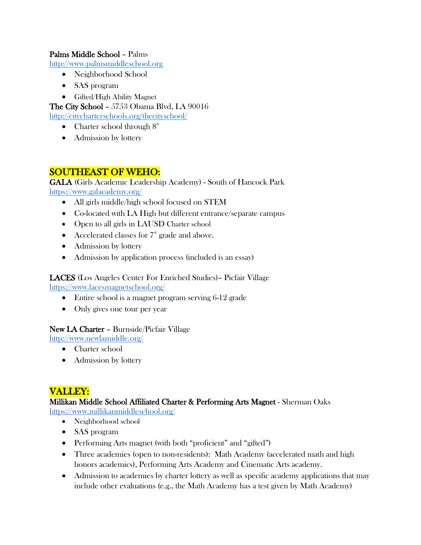### Palms Middle School – Palms

[http://www.palmsmiddleschool.org](http://www.palmsmiddleschool.org/)

- Neighborhood School
- SAS program
- Gifted/High Ability Magnet

The City School – 5753 Obama Blvd, LA 90016

<http://citycharterschools.org/thecityschool/>

- Charter school through  $8<sup>th</sup>$
- Admission by lottery

# SOUTHEAST OF WEHO:

GALA (Girls Academic Leadership Academy) - South of Hancock Park <https://www.galacademy.org/>

- All girls middle/high school focused on STEM
- Co-located with LA High but different entrance/separate campus
- Open to all girls in LAUSD Charter school
- Accelerated classes for  $7<sup>th</sup>$  grade and above.
- Admission by lottery
- Admission by application process (included is an essay)

#### LACES (Los Angeles Center For Enriched Studies)– Picfair Village <https://www.lacesmagnetschool.org/>

- Entire school is a magnet program serving 6-12 grade
- Only gives one tour per year

#### New LA Charter – Burnside/Picfair Village

- <http://www.newlamiddle.org/>
	- Charter school
	- Admission by lottery

# VALLEY:

#### Millikan Middle School Affiliated Charter & Performing Arts Magnet - Sherman Oaks <https://www.millikanmiddleschool.org/>

- Neighborhood school
- SAS program
- Performing Arts magnet (with both "proficient" and "gifted")
- Three academies (open to non-residents): Math Academy (accelerated math and high honors academics), Performing Arts Academy and Cinematic Arts academy.
- Admission to academies by charter lottery as well as specific academy applications that may include other evaluations (e.g., the Math Academy has a test given by Math Academy)